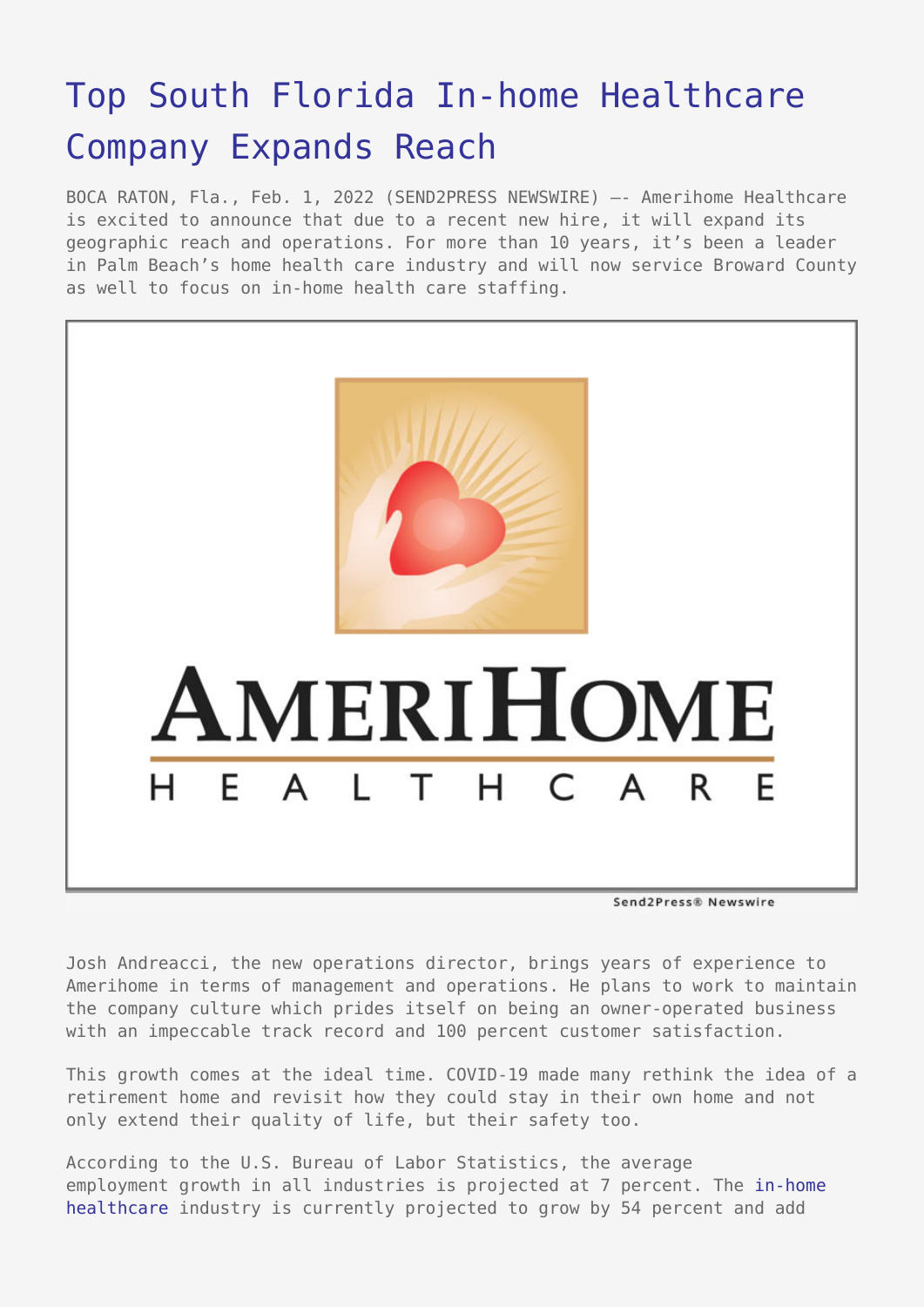## [Top South Florida In-home Healthcare](https://www.send2press.com/wire/top-south-florida-in-home-healthcare-company-expands-reach/) [Company Expands Reach](https://www.send2press.com/wire/top-south-florida-in-home-healthcare-company-expands-reach/)

BOCA RATON, Fla., Feb. 1, 2022 (SEND2PRESS NEWSWIRE) –- Amerihome Healthcare is excited to announce that due to a recent new hire, it will expand its geographic reach and operations. For more than 10 years, it's been a leader in Palm Beach's home health care industry and will now service Broward County as well to focus on in-home health care staffing.



Josh Andreacci, the new operations director, brings years of experience to Amerihome in terms of management and operations. He plans to work to maintain the company culture which prides itself on being an owner-operated business with an impeccable track record and 100 percent customer satisfaction.

This growth comes at the ideal time. COVID-19 made many rethink the idea of a retirement home and revisit how they could stay in their own home and not only extend their quality of life, but their safety too.

According to the U.S. Bureau of Labor Statistics, the average employment growth in all industries is projected at 7 percent. The [in-home](https://amerihomehealthcare.com/) [healthcare](https://amerihomehealthcare.com/) industry is currently projected to grow by 54 percent and add